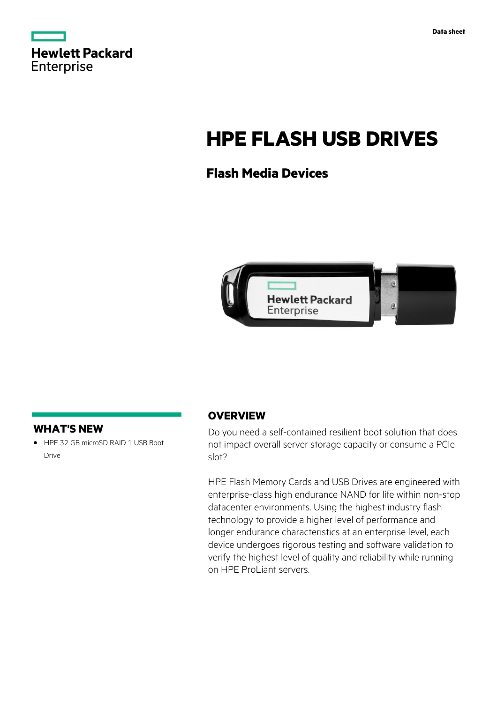

# **HPE FLASH USB DRIVES**

## **Flash Media Devices**



#### **WHAT'S NEW**

**·** HPE 32 GB microSD RAID 1 USB Boot Drive

#### **OVERVIEW**

Do you need a self-contained resilient boot solution that does not impact overall server storage capacity or consume a PCIe slot?

HPE Flash Memory Cards and USB Drives are engineered with enterprise-class high endurance NAND for life within non-stop datacenter environments. Using the highest industry flash technology to provide a higher level of performance and longer endurance characteristics at an enterprise level, each device undergoes rigorous testing and software validation to verify the highest level of quality and reliability while running on HPE ProLiant servers.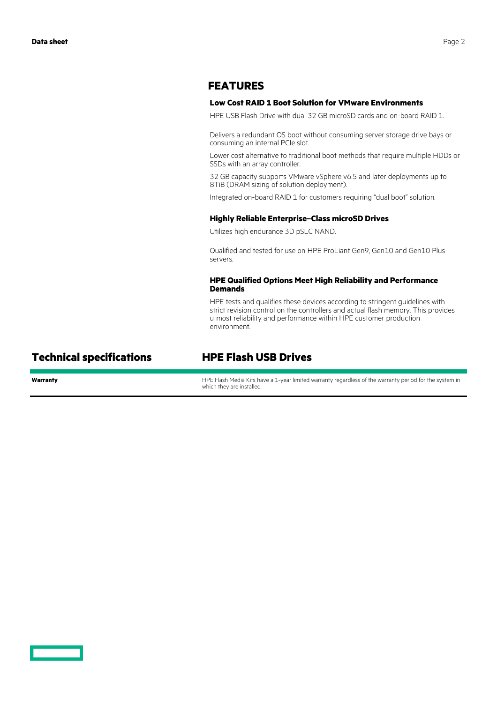#### **FEATURES**

#### **Low Cost RAID 1 Boot Solution for VMware Environments**

HPE USB Flash Drive with dual 32 GB microSD cards and on-board RAID 1.

Delivers a redundant OS boot without consuming server storage drive bays or consuming an internal PCIe slot.

Lower cost alternative to traditional boot methods that require multiple HDDs or SSDs with an array controller.

32 GB capacity supports VMware vSphere v6.5 and later deployments up to 8TiB (DRAM sizing of solution deployment).

Integrated on-board RAID 1 for customers requiring "dual boot" solution.

#### **Highly Reliable Enterprise–Class microSD Drives**

Utilizes high endurance 3D pSLC NAND.

Qualified and tested for use on HPE ProLiant Gen9, Gen10 and Gen10 Plus servers.

#### **HPE Qualified Options Meet High Reliability and Performance Demands**

HPE tests and qualifies these devices according to stringent guidelines with strict revision control on the controllers and actual flash memory. This provides utmost reliability and performance within HPE customer production environment.

### **Technical specifications HPE Flash USB Drives**

Warranty **Warranty HPE Flash Media Kits have a 1-year limited warranty regardless of the warranty period for the system in** which they are installed.